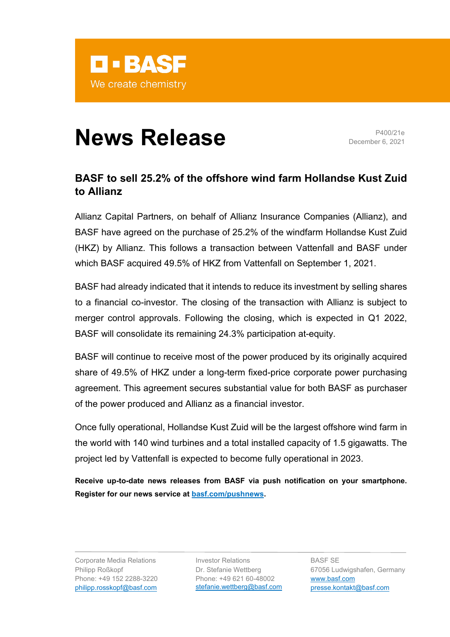

## **News Release** P400/21e

December 6, 2021

## **BASF to sell 25.2% of the offshore wind farm Hollandse Kust Zuid to Allianz**

Allianz Capital Partners, on behalf of Allianz Insurance Companies (Allianz), and BASF have agreed on the purchase of 25.2% of the windfarm Hollandse Kust Zuid (HKZ) by Allianz. This follows a transaction between Vattenfall and BASF under which BASF acquired 49.5% of HKZ from Vattenfall on September 1, 2021.

BASF had already indicated that it intends to reduce its investment by selling shares to a financial co-investor. The closing of the transaction with Allianz is subject to merger control approvals. Following the closing, which is expected in Q1 2022, BASF will consolidate its remaining 24.3% participation at-equity.

BASF will continue to receive most of the power produced by its originally acquired share of 49.5% of HKZ under a long-term fixed-price corporate power purchasing agreement. This agreement secures substantial value for both BASF as purchaser of the power produced and Allianz as a financial investor.

Once fully operational, Hollandse Kust Zuid will be the largest offshore wind farm in the world with 140 wind turbines and a total installed capacity of 1.5 gigawatts. The project led by Vattenfall is expected to become fully operational in 2023.

**Receive up-to-date news releases from BASF via push notification on your smartphone. Register for our news service at [basf.com/pushnews.](http://www.basf.com/pushnews)**

Corporate Media Relations Philipp Roßkopf Phone: +49 152 2288-3220 philipp.rosskopf@basf.com

Investor Relations Dr. Stefanie Wettberg Phone: +49 621 60-48002 [stefanie.wettberg@basf.com](mailto:stefanie.wettberg@basf.com)

BASF SE 67056 Ludwigshafen, Germany [www.basf.com](https://www.basf.com/global/en.html) [presse.kontakt@basf.com](mailto:presse.kontakt@basf.com)